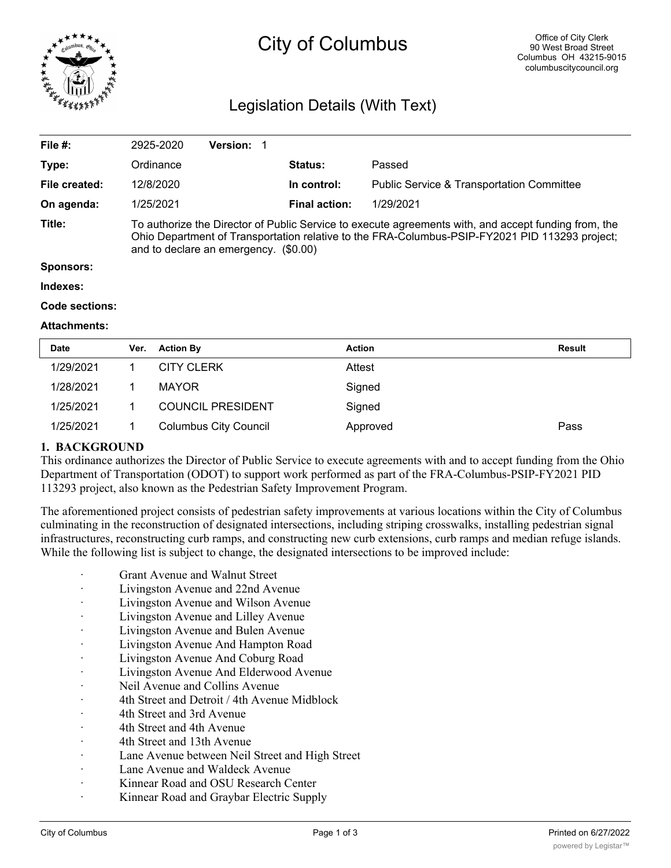

# City of Columbus

# Legislation Details (With Text)

| File #:       | 2925-2020                                                                                                                                                                                                                                       | Version: 1 |  |                      |                                                      |  |  |
|---------------|-------------------------------------------------------------------------------------------------------------------------------------------------------------------------------------------------------------------------------------------------|------------|--|----------------------|------------------------------------------------------|--|--|
| Type:         | Ordinance                                                                                                                                                                                                                                       |            |  | <b>Status:</b>       | Passed                                               |  |  |
| File created: | 12/8/2020                                                                                                                                                                                                                                       |            |  | In control:          | <b>Public Service &amp; Transportation Committee</b> |  |  |
| On agenda:    | 1/25/2021                                                                                                                                                                                                                                       |            |  | <b>Final action:</b> | 1/29/2021                                            |  |  |
| Title:        | To authorize the Director of Public Service to execute agreements with, and accept funding from, the<br>Ohio Department of Transportation relative to the FRA-Columbus-PSIP-FY2021 PID 113293 project;<br>and to declare an emergency. (\$0.00) |            |  |                      |                                                      |  |  |
| Sponsors:     |                                                                                                                                                                                                                                                 |            |  |                      |                                                      |  |  |
| Indexes:      |                                                                                                                                                                                                                                                 |            |  |                      |                                                      |  |  |

#### **Code sections:**

#### **Attachments:**

| <b>Date</b> | Ver. | <b>Action By</b>             | <b>Action</b> | <b>Result</b> |
|-------------|------|------------------------------|---------------|---------------|
| 1/29/2021   |      | <b>CITY CLERK</b>            | Attest        |               |
| 1/28/2021   |      | <b>MAYOR</b>                 | Signed        |               |
| 1/25/2021   |      | <b>COUNCIL PRESIDENT</b>     | Signed        |               |
| 1/25/2021   |      | <b>Columbus City Council</b> | Approved      | Pass          |

#### **1. BACKGROUND**

This ordinance authorizes the Director of Public Service to execute agreements with and to accept funding from the Ohio Department of Transportation (ODOT) to support work performed as part of the FRA-Columbus-PSIP-FY2021 PID 113293 project, also known as the Pedestrian Safety Improvement Program.

The aforementioned project consists of pedestrian safety improvements at various locations within the City of Columbus culminating in the reconstruction of designated intersections, including striping crosswalks, installing pedestrian signal infrastructures, reconstructing curb ramps, and constructing new curb extensions, curb ramps and median refuge islands. While the following list is subject to change, the designated intersections to be improved include:

- Grant Avenue and Walnut Street
- · Livingston Avenue and 22nd Avenue
- Livingston Avenue and Wilson Avenue
- · Livingston Avenue and Lilley Avenue
- · Livingston Avenue and Bulen Avenue
- · Livingston Avenue And Hampton Road
- · Livingston Avenue And Coburg Road
- Livingston Avenue And Elderwood Avenue
- · Neil Avenue and Collins Avenue
- · 4th Street and Detroit / 4th Avenue Midblock
- 4th Street and 3rd Avenue
- 4th Street and 4th Avenue
- 4th Street and 13th Avenue
- Lane Avenue between Neil Street and High Street
- · Lane Avenue and Waldeck Avenue
- Kinnear Road and OSU Research Center
- Kinnear Road and Graybar Electric Supply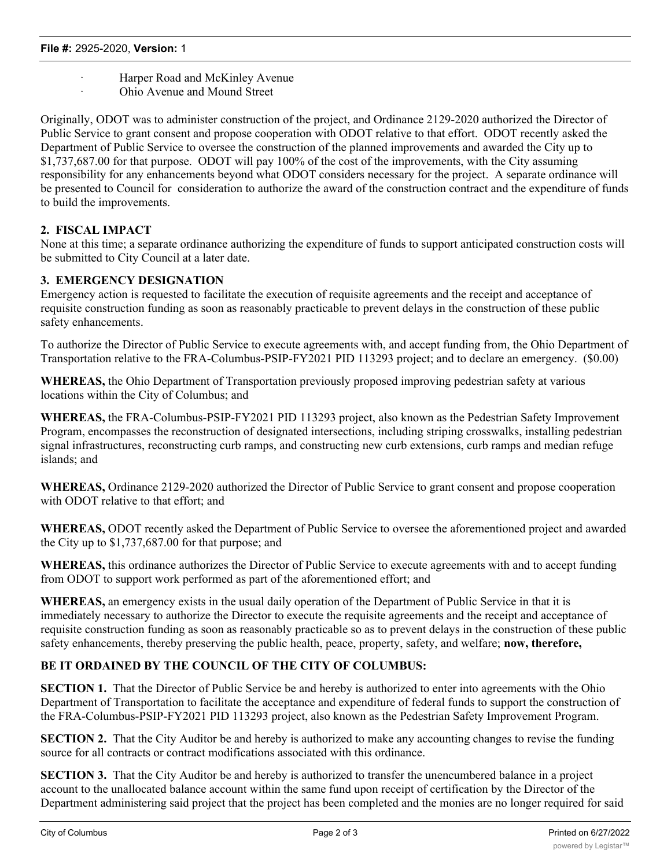- Harper Road and McKinley Avenue
	- Ohio Avenue and Mound Street

Originally, ODOT was to administer construction of the project, and Ordinance 2129-2020 authorized the Director of Public Service to grant consent and propose cooperation with ODOT relative to that effort. ODOT recently asked the Department of Public Service to oversee the construction of the planned improvements and awarded the City up to \$1,737,687.00 for that purpose. ODOT will pay 100% of the cost of the improvements, with the City assuming responsibility for any enhancements beyond what ODOT considers necessary for the project. A separate ordinance will be presented to Council for consideration to authorize the award of the construction contract and the expenditure of funds to build the improvements.

### **2. FISCAL IMPACT**

None at this time; a separate ordinance authorizing the expenditure of funds to support anticipated construction costs will be submitted to City Council at a later date.

### **3. EMERGENCY DESIGNATION**

Emergency action is requested to facilitate the execution of requisite agreements and the receipt and acceptance of requisite construction funding as soon as reasonably practicable to prevent delays in the construction of these public safety enhancements.

To authorize the Director of Public Service to execute agreements with, and accept funding from, the Ohio Department of Transportation relative to the FRA-Columbus-PSIP-FY2021 PID 113293 project; and to declare an emergency. (\$0.00)

**WHEREAS,** the Ohio Department of Transportation previously proposed improving pedestrian safety at various locations within the City of Columbus; and

**WHEREAS,** the FRA-Columbus-PSIP-FY2021 PID 113293 project, also known as the Pedestrian Safety Improvement Program, encompasses the reconstruction of designated intersections, including striping crosswalks, installing pedestrian signal infrastructures, reconstructing curb ramps, and constructing new curb extensions, curb ramps and median refuge islands; and

**WHEREAS,** Ordinance 2129-2020 authorized the Director of Public Service to grant consent and propose cooperation with ODOT relative to that effort; and

**WHEREAS,** ODOT recently asked the Department of Public Service to oversee the aforementioned project and awarded the City up to \$1,737,687.00 for that purpose; and

**WHEREAS,** this ordinance authorizes the Director of Public Service to execute agreements with and to accept funding from ODOT to support work performed as part of the aforementioned effort; and

**WHEREAS,** an emergency exists in the usual daily operation of the Department of Public Service in that it is immediately necessary to authorize the Director to execute the requisite agreements and the receipt and acceptance of requisite construction funding as soon as reasonably practicable so as to prevent delays in the construction of these public safety enhancements, thereby preserving the public health, peace, property, safety, and welfare; **now, therefore,**

## **BE IT ORDAINED BY THE COUNCIL OF THE CITY OF COLUMBUS:**

**SECTION 1.** That the Director of Public Service be and hereby is authorized to enter into agreements with the Ohio Department of Transportation to facilitate the acceptance and expenditure of federal funds to support the construction of the FRA-Columbus-PSIP-FY2021 PID 113293 project, also known as the Pedestrian Safety Improvement Program.

**SECTION 2.** That the City Auditor be and hereby is authorized to make any accounting changes to revise the funding source for all contracts or contract modifications associated with this ordinance.

**SECTION 3.** That the City Auditor be and hereby is authorized to transfer the unencumbered balance in a project account to the unallocated balance account within the same fund upon receipt of certification by the Director of the Department administering said project that the project has been completed and the monies are no longer required for said